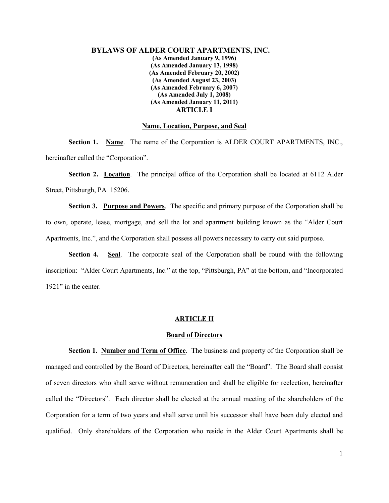## **BYLAWS OF ALDER COURT APARTMENTS, INC. (As Amended January 9, 1996) (As Amended January 13, 1998) (As Amended February 20, 2002) (As Amended August 23, 2003) (As Amended February 6, 2007) (As Amended July 1, 2008) (As Amended January 11, 2011) ARTICLE I**

### **Name, Location, Purpose, and Seal**

**Section 1. Name**. The name of the Corporation is ALDER COURT APARTMENTS, INC., hereinafter called the "Corporation".

**Section 2. Location**. The principal office of the Corporation shall be located at 6112 Alder Street, Pittsburgh, PA 15206.

**Section 3. Purpose and Powers**. The specific and primary purpose of the Corporation shall be to own, operate, lease, mortgage, and sell the lot and apartment building known as the "Alder Court Apartments, Inc.", and the Corporation shall possess all powers necessary to carry out said purpose.

**Section 4. Seal**. The corporate seal of the Corporation shall be round with the following inscription: "Alder Court Apartments, Inc." at the top, "Pittsburgh, PA" at the bottom, and "Incorporated 1921" in the center.

## **ARTICLE II**

## **Board of Directors**

**Section 1. Number and Term of Office**. The business and property of the Corporation shall be managed and controlled by the Board of Directors, hereinafter call the "Board". The Board shall consist of seven directors who shall serve without remuneration and shall be eligible for reelection, hereinafter called the "Directors". Each director shall be elected at the annual meeting of the shareholders of the Corporation for a term of two years and shall serve until his successor shall have been duly elected and qualified. Only shareholders of the Corporation who reside in the Alder Court Apartments shall be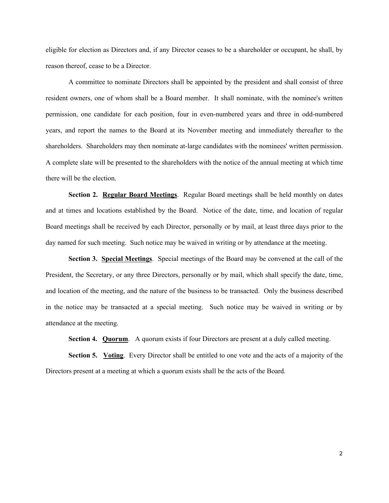eligible for election as Directors and, if any Director ceases to be a shareholder or occupant, he shall, by reason thereof, cease to be a Director.

A committee to nominate Directors shall be appointed by the president and shall consist of three resident owners, one of whom shall be a Board member. It shall nominate, with the nominee's written permission, one candidate for each position, four in even-numbered years and three in odd-numbered years, and report the names to the Board at its November meeting and immediately thereafter to the shareholders. Shareholders may then nominate at-large candidates with the nominees' written permission. A complete slate will be presented to the shareholders with the notice of the annual meeting at which time there will be the election.

**Section 2. Regular Board Meetings**. Regular Board meetings shall be held monthly on dates and at times and locations established by the Board. Notice of the date, time, and location of regular Board meetings shall be received by each Director, personally or by mail, at least three days prior to the day named for such meeting. Such notice may be waived in writing or by attendance at the meeting.

**Section 3. Special Meetings**. Special meetings of the Board may be convened at the call of the President, the Secretary, or any three Directors, personally or by mail, which shall specify the date, time, and location of the meeting, and the nature of the business to be transacted. Only the business described in the notice may be transacted at a special meeting. Such notice may be waived in writing or by attendance at the meeting.

**Section 4. Quorum.** A quorum exists if four Directors are present at a duly called meeting.

**Section 5. Voting**. Every Director shall be entitled to one vote and the acts of a majority of the Directors present at a meeting at which a quorum exists shall be the acts of the Board.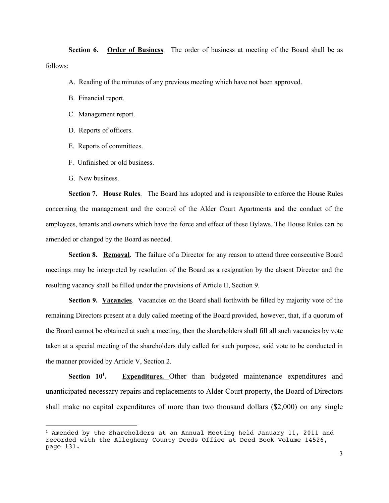**Section 6. Order of Business**. The order of business at meeting of the Board shall be as follows:

- A. Reading of the minutes of any previous meeting which have not been approved.
- B. Financial report.
- C. Management report.
- D. Reports of officers.
- E. Reports of committees.
- F. Unfinished or old business.
- G. New business.

**Section 7. House Rules**. The Board has adopted and is responsible to enforce the House Rules concerning the management and the control of the Alder Court Apartments and the conduct of the employees, tenants and owners which have the force and effect of these Bylaws. The House Rules can be amended or changed by the Board as needed.

**Section 8. Removal**. The failure of a Director for any reason to attend three consecutive Board meetings may be interpreted by resolution of the Board as a resignation by the absent Director and the resulting vacancy shall be filled under the provisions of Article II, Section 9.

**Section 9. Vacancies**. Vacancies on the Board shall forthwith be filled by majority vote of the remaining Directors present at a duly called meeting of the Board provided, however, that, if a quorum of the Board cannot be obtained at such a meeting, then the shareholders shall fill all such vacancies by vote taken at a special meeting of the shareholders duly called for such purpose, said vote to be conducted in the manner provided by Article V, Section 2.

**Section 10<sup>1</sup> . Expenditures.** Other than budgeted maintenance expenditures and unanticipated necessary repairs and replacements to Alder Court property, the Board of Directors shall make no capital expenditures of more than two thousand dollars (\$2,000) on any single

 $1$  Amended by the Shareholders at an Annual Meeting held January 11, 2011 and recorded with the Allegheny County Deeds Office at Deed Book Volume 14526, page 131.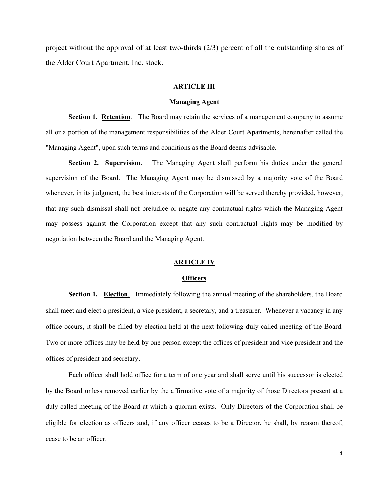project without the approval of at least two-thirds (2/3) percent of all the outstanding shares of the Alder Court Apartment, Inc. stock.

## **ARTICLE III**

## **Managing Agent**

**Section 1. Retention**. The Board may retain the services of a management company to assume all or a portion of the management responsibilities of the Alder Court Apartments, hereinafter called the "Managing Agent", upon such terms and conditions as the Board deems advisable.

**Section 2. Supervision**. The Managing Agent shall perform his duties under the general supervision of the Board. The Managing Agent may be dismissed by a majority vote of the Board whenever, in its judgment, the best interests of the Corporation will be served thereby provided, however, that any such dismissal shall not prejudice or negate any contractual rights which the Managing Agent may possess against the Corporation except that any such contractual rights may be modified by negotiation between the Board and the Managing Agent.

## **ARTICLE IV**

#### **Officers**

**Section 1. Election**. Immediately following the annual meeting of the shareholders, the Board shall meet and elect a president, a vice president, a secretary, and a treasurer. Whenever a vacancy in any office occurs, it shall be filled by election held at the next following duly called meeting of the Board. Two or more offices may be held by one person except the offices of president and vice president and the offices of president and secretary.

Each officer shall hold office for a term of one year and shall serve until his successor is elected by the Board unless removed earlier by the affirmative vote of a majority of those Directors present at a duly called meeting of the Board at which a quorum exists. Only Directors of the Corporation shall be eligible for election as officers and, if any officer ceases to be a Director, he shall, by reason thereof, cease to be an officer.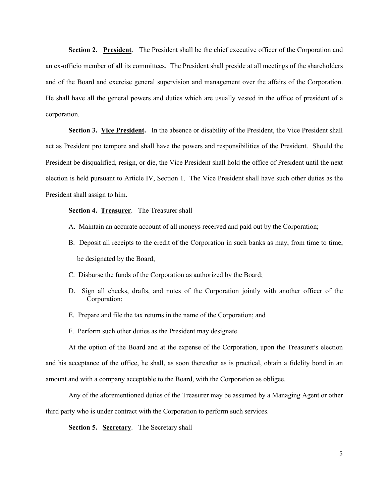**Section 2. President**. The President shall be the chief executive officer of the Corporation and an ex-officio member of all its committees. The President shall preside at all meetings of the shareholders and of the Board and exercise general supervision and management over the affairs of the Corporation. He shall have all the general powers and duties which are usually vested in the office of president of a corporation.

**Section 3. Vice President.** In the absence or disability of the President, the Vice President shall act as President pro tempore and shall have the powers and responsibilities of the President. Should the President be disqualified, resign, or die, the Vice President shall hold the office of President until the next election is held pursuant to Article IV, Section 1. The Vice President shall have such other duties as the President shall assign to him.

## **Section 4. Treasurer**. The Treasurer shall

- A. Maintain an accurate account of all moneys received and paid out by the Corporation;
- B. Deposit all receipts to the credit of the Corporation in such banks as may, from time to time, be designated by the Board;
- C. Disburse the funds of the Corporation as authorized by the Board;
- D. Sign all checks, drafts, and notes of the Corporation jointly with another officer of the Corporation;
- E. Prepare and file the tax returns in the name of the Corporation; and
- F. Perform such other duties as the President may designate.

At the option of the Board and at the expense of the Corporation, upon the Treasurer's election and his acceptance of the office, he shall, as soon thereafter as is practical, obtain a fidelity bond in an amount and with a company acceptable to the Board, with the Corporation as obligee.

Any of the aforementioned duties of the Treasurer may be assumed by a Managing Agent or other third party who is under contract with the Corporation to perform such services.

**Section 5. Secretary**. The Secretary shall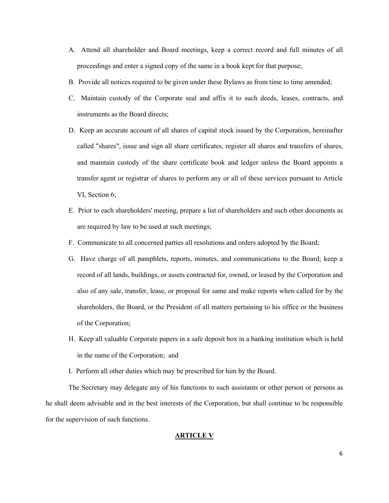- A. Attend all shareholder and Board meetings, keep a correct record and full minutes of all proceedings and enter a signed copy of the same in a book kept for that purpose;
- B. Provide all notices required to be given under these Bylaws as from time to time amended;
- C. Maintain custody of the Corporate seal and affix it to such deeds, leases, contracts, and instruments as the Board directs;
- D. Keep an accurate account of all shares of capital stock issued by the Corporation, hereinafter called "shares", issue and sign all share certificates, register all shares and transfers of shares, and maintain custody of the share certificate book and ledger unless the Board appoints a transfer agent or registrar of shares to perform any or all of these services pursuant to Article VI, Section 6;
- E. Prior to each shareholders' meeting, prepare a list of shareholders and such other documents as are required by law to be used at such meetings;
- F. Communicate to all concerned parties all resolutions and orders adopted by the Board;
- G. Have charge of all pamphlets, reports, minutes, and communications to the Board; keep a record of all lands, buildings, or assets contracted for, owned, or leased by the Corporation and also of any sale, transfer, lease, or proposal for same and make reports when called for by the shareholders, the Board, or the President of all matters pertaining to his office or the business of the Corporation;
- H. Keep all valuable Corporate papers in a safe deposit box in a banking institution which is held in the name of the Corporation; and
- I. Perform all other duties which may be prescribed for him by the Board.

The Secretary may delegate any of his functions to such assistants or other person or persons as he shall deem advisable and in the best interests of the Corporation, but shall continue to be responsible for the supervision of such functions.

## **ARTICLE V**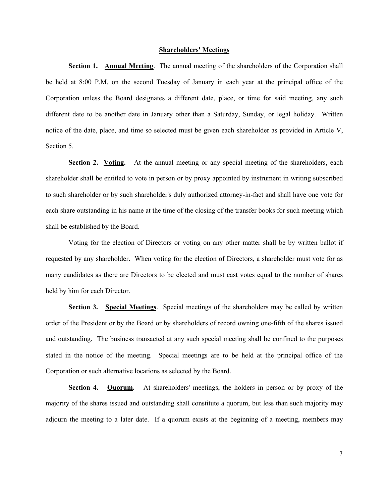## **Shareholders' Meetings**

**Section 1. Annual Meeting.** The annual meeting of the shareholders of the Corporation shall be held at 8:00 P.M. on the second Tuesday of January in each year at the principal office of the Corporation unless the Board designates a different date, place, or time for said meeting, any such different date to be another date in January other than a Saturday, Sunday, or legal holiday. Written notice of the date, place, and time so selected must be given each shareholder as provided in Article V, Section 5.

**Section 2. Voting.** At the annual meeting or any special meeting of the shareholders, each shareholder shall be entitled to vote in person or by proxy appointed by instrument in writing subscribed to such shareholder or by such shareholder's duly authorized attorney-in-fact and shall have one vote for each share outstanding in his name at the time of the closing of the transfer books for such meeting which shall be established by the Board.

Voting for the election of Directors or voting on any other matter shall be by written ballot if requested by any shareholder. When voting for the election of Directors, a shareholder must vote for as many candidates as there are Directors to be elected and must cast votes equal to the number of shares held by him for each Director.

**Section 3. Special Meetings**. Special meetings of the shareholders may be called by written order of the President or by the Board or by shareholders of record owning one-fifth of the shares issued and outstanding. The business transacted at any such special meeting shall be confined to the purposes stated in the notice of the meeting. Special meetings are to be held at the principal office of the Corporation or such alternative locations as selected by the Board.

**Section 4.** Quorum. At shareholders' meetings, the holders in person or by proxy of the majority of the shares issued and outstanding shall constitute a quorum, but less than such majority may adjourn the meeting to a later date. If a quorum exists at the beginning of a meeting, members may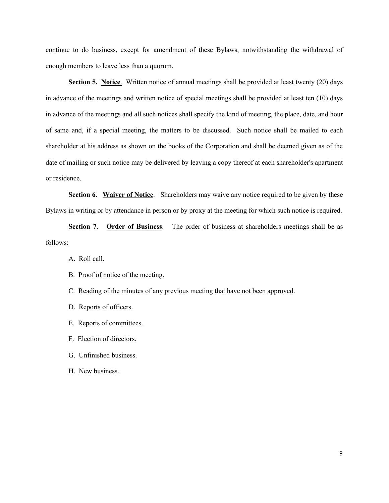continue to do business, except for amendment of these Bylaws, notwithstanding the withdrawal of enough members to leave less than a quorum.

**Section 5. Notice.** Written notice of annual meetings shall be provided at least twenty (20) days in advance of the meetings and written notice of special meetings shall be provided at least ten (10) days in advance of the meetings and all such notices shall specify the kind of meeting, the place, date, and hour of same and, if a special meeting, the matters to be discussed. Such notice shall be mailed to each shareholder at his address as shown on the books of the Corporation and shall be deemed given as of the date of mailing or such notice may be delivered by leaving a copy thereof at each shareholder's apartment or residence.

**Section 6. Waiver of Notice.** Shareholders may waive any notice required to be given by these Bylaws in writing or by attendance in person or by proxy at the meeting for which such notice is required.

**Section 7. Order of Business**. The order of business at shareholders meetings shall be as follows:

- A. Roll call.
- B. Proof of notice of the meeting.
- C. Reading of the minutes of any previous meeting that have not been approved.
- D. Reports of officers.
- E. Reports of committees.
- F. Election of directors.
- G. Unfinished business.
- H. New business.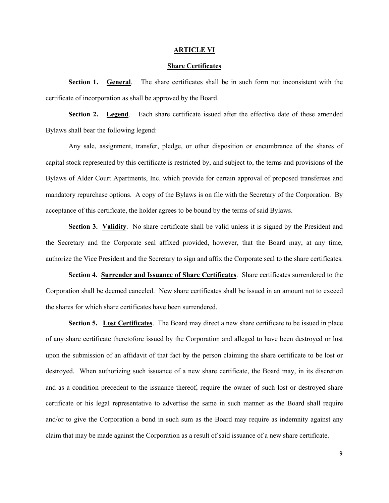#### **ARTICLE VI**

## **Share Certificates**

**Section 1. General**. The share certificates shall be in such form not inconsistent with the certificate of incorporation as shall be approved by the Board.

**Section 2. Legend**. Each share certificate issued after the effective date of these amended Bylaws shall bear the following legend:

Any sale, assignment, transfer, pledge, or other disposition or encumbrance of the shares of capital stock represented by this certificate is restricted by, and subject to, the terms and provisions of the Bylaws of Alder Court Apartments, Inc. which provide for certain approval of proposed transferees and mandatory repurchase options. A copy of the Bylaws is on file with the Secretary of the Corporation. By acceptance of this certificate, the holder agrees to be bound by the terms of said Bylaws.

**Section 3. Validity.** No share certificate shall be valid unless it is signed by the President and the Secretary and the Corporate seal affixed provided, however, that the Board may, at any time, authorize the Vice President and the Secretary to sign and affix the Corporate seal to the share certificates.

**Section 4. Surrender and Issuance of Share Certificates**. Share certificates surrendered to the Corporation shall be deemed canceled. New share certificates shall be issued in an amount not to exceed the shares for which share certificates have been surrendered.

**Section 5. Lost Certificates**. The Board may direct a new share certificate to be issued in place of any share certificate theretofore issued by the Corporation and alleged to have been destroyed or lost upon the submission of an affidavit of that fact by the person claiming the share certificate to be lost or destroyed. When authorizing such issuance of a new share certificate, the Board may, in its discretion and as a condition precedent to the issuance thereof, require the owner of such lost or destroyed share certificate or his legal representative to advertise the same in such manner as the Board shall require and/or to give the Corporation a bond in such sum as the Board may require as indemnity against any claim that may be made against the Corporation as a result of said issuance of a new share certificate.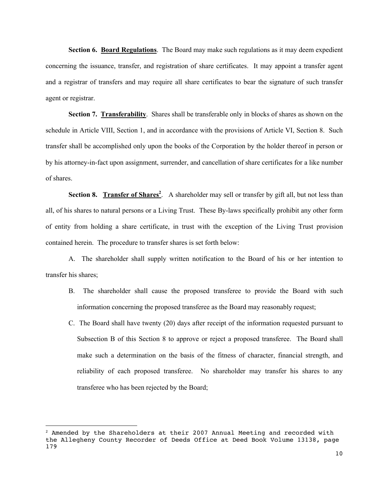**Section 6. Board Regulations**. The Board may make such regulations as it may deem expedient concerning the issuance, transfer, and registration of share certificates. It may appoint a transfer agent and a registrar of transfers and may require all share certificates to bear the signature of such transfer agent or registrar.

**Section 7. Transferability**. Shares shall be transferable only in blocks of shares as shown on the schedule in Article VIII, Section 1, and in accordance with the provisions of Article VI, Section 8. Such transfer shall be accomplished only upon the books of the Corporation by the holder thereof in person or by his attorney-in-fact upon assignment, surrender, and cancellation of share certificates for a like number of shares.

Section 8. Transfer of Shares<sup>2</sup>. A shareholder may sell or transfer by gift all, but not less than all, of his shares to natural persons or a Living Trust. These By-laws specifically prohibit any other form of entity from holding a share certificate, in trust with the exception of the Living Trust provision contained herein. The procedure to transfer shares is set forth below:

A. The shareholder shall supply written notification to the Board of his or her intention to transfer his shares;

- B. The shareholder shall cause the proposed transferee to provide the Board with such information concerning the proposed transferee as the Board may reasonably request;
- C. The Board shall have twenty (20) days after receipt of the information requested pursuant to Subsection B of this Section 8 to approve or reject a proposed transferee. The Board shall make such a determination on the basis of the fitness of character, financial strength, and reliability of each proposed transferee. No shareholder may transfer his shares to any transferee who has been rejected by the Board;

 $2$  Amended by the Shareholders at their 2007 Annual Meeting and recorded with the Allegheny County Recorder of Deeds Office at Deed Book Volume 13138, page 179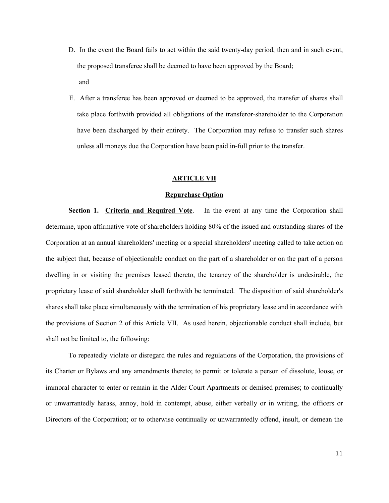- D. In the event the Board fails to act within the said twenty-day period, then and in such event, the proposed transferee shall be deemed to have been approved by the Board; and
- E. After a transferee has been approved or deemed to be approved, the transfer of shares shall take place forthwith provided all obligations of the transferor-shareholder to the Corporation have been discharged by their entirety. The Corporation may refuse to transfer such shares unless all moneys due the Corporation have been paid in-full prior to the transfer.

## **ARTICLE VII**

## **Repurchase Option**

**Section 1. Criteria and Required Vote**. In the event at any time the Corporation shall determine, upon affirmative vote of shareholders holding 80% of the issued and outstanding shares of the Corporation at an annual shareholders' meeting or a special shareholders' meeting called to take action on the subject that, because of objectionable conduct on the part of a shareholder or on the part of a person dwelling in or visiting the premises leased thereto, the tenancy of the shareholder is undesirable, the proprietary lease of said shareholder shall forthwith be terminated. The disposition of said shareholder's shares shall take place simultaneously with the termination of his proprietary lease and in accordance with the provisions of Section 2 of this Article VII. As used herein, objectionable conduct shall include, but shall not be limited to, the following:

To repeatedly violate or disregard the rules and regulations of the Corporation, the provisions of its Charter or Bylaws and any amendments thereto; to permit or tolerate a person of dissolute, loose, or immoral character to enter or remain in the Alder Court Apartments or demised premises; to continually or unwarrantedly harass, annoy, hold in contempt, abuse, either verbally or in writing, the officers or Directors of the Corporation; or to otherwise continually or unwarrantedly offend, insult, or demean the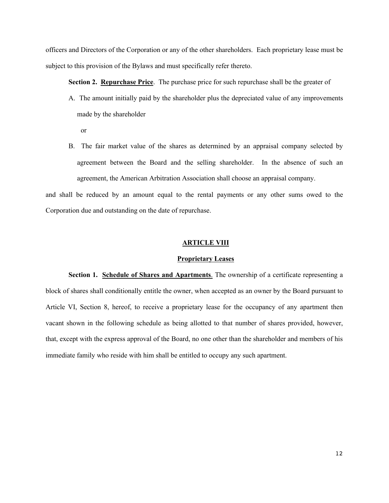officers and Directors of the Corporation or any of the other shareholders. Each proprietary lease must be subject to this provision of the Bylaws and must specifically refer thereto.

**Section 2. Repurchase Price**. The purchase price for such repurchase shall be the greater of

- A. The amount initially paid by the shareholder plus the depreciated value of any improvements made by the shareholder
	- or
- B. The fair market value of the shares as determined by an appraisal company selected by agreement between the Board and the selling shareholder. In the absence of such an agreement, the American Arbitration Association shall choose an appraisal company.

and shall be reduced by an amount equal to the rental payments or any other sums owed to the Corporation due and outstanding on the date of repurchase.

### **ARTICLE VIII**

## **Proprietary Leases**

**Section 1. Schedule of Shares and Apartments**. The ownership of a certificate representing a block of shares shall conditionally entitle the owner, when accepted as an owner by the Board pursuant to Article VI, Section 8, hereof, to receive a proprietary lease for the occupancy of any apartment then vacant shown in the following schedule as being allotted to that number of shares provided, however, that, except with the express approval of the Board, no one other than the shareholder and members of his immediate family who reside with him shall be entitled to occupy any such apartment.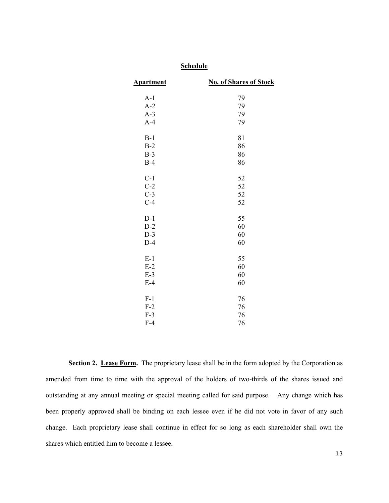| <b>Apartment</b> | <b>No. of Shares of Stock</b> |
|------------------|-------------------------------|
| $A-1$            | 79                            |
| $A-2$            | 79                            |
| $A-3$            | 79                            |
| $A-4$            | 79                            |
| $B-1$            | 81                            |
| $B-2$            | 86                            |
| $B-3$            | 86                            |
| $B-4$            | 86                            |
| $C-1$            | 52                            |
| $C-2$            | 52                            |
| $C-3$            | 52                            |
| $C-4$            | 52                            |
| $D-1$            | 55                            |
| $D-2$            | 60                            |
| $D-3$            | 60                            |
| $D-4$            | 60                            |
| $E-1$            | 55                            |
| $E-2$            | 60                            |
| $E-3$            | 60                            |
| $E-4$            | 60                            |
| $F-1$            | 76                            |
| $F-2$            | 76                            |
| $F-3$            | 76                            |
| $F-4$            | 76                            |
|                  |                               |

**Schedule**

# Section 2. Lease Form. The proprietary lease shall be in the form adopted by the Corporation as amended from time to time with the approval of the holders of two-thirds of the shares issued and outstanding at any annual meeting or special meeting called for said purpose. Any change which has been properly approved shall be binding on each lessee even if he did not vote in favor of any such change. Each proprietary lease shall continue in effect for so long as each shareholder shall own the shares which entitled him to become a lessee.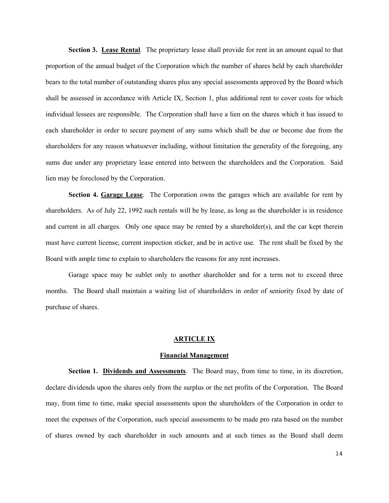**Section 3. Lease Rental**. The proprietary lease shall provide for rent in an amount equal to that proportion of the annual budget of the Corporation which the number of shares held by each shareholder bears to the total number of outstanding shares plus any special assessments approved by the Board which shall be assessed in accordance with Article IX, Section 1, plus additional rent to cover costs for which individual lessees are responsible. The Corporation shall have a lien on the shares which it has issued to each shareholder in order to secure payment of any sums which shall be due or become due from the shareholders for any reason whatsoever including, without limitation the generality of the foregoing, any sums due under any proprietary lease entered into between the shareholders and the Corporation. Said lien may be foreclosed by the Corporation.

**Section 4. Garage Lease**. The Corporation owns the garages which are available for rent by shareholders. As of July 22, 1992 such rentals will be by lease, as long as the shareholder is in residence and current in all charges. Only one space may be rented by a shareholder(s), and the car kept therein must have current license, current inspection sticker, and be in active use. The rent shall be fixed by the Board with ample time to explain to shareholders the reasons for any rent increases.

Garage space may be sublet only to another shareholder and for a term not to exceed three months. The Board shall maintain a waiting list of shareholders in order of seniority fixed by date of purchase of shares.

#### **ARTICLE IX**

#### **Financial Management**

**Section 1. Dividends and Assessments**. The Board may, from time to time, in its discretion, declare dividends upon the shares only from the surplus or the net profits of the Corporation. The Board may, from time to time, make special assessments upon the shareholders of the Corporation in order to meet the expenses of the Corporation, such special assessments to be made pro rata based on the number of shares owned by each shareholder in such amounts and at such times as the Board shall deem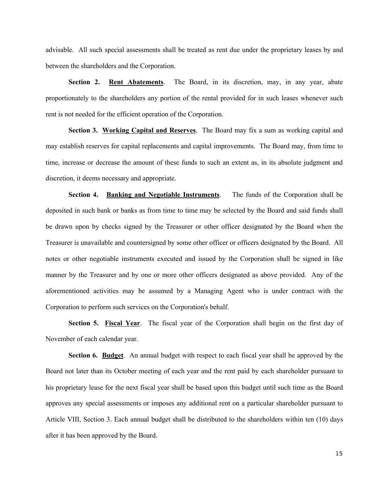advisable. All such special assessments shall be treated as rent due under the proprietary leases by and between the shareholders and the Corporation.

**Section 2. Rent Abatements**. The Board, in its discretion, may, in any year, abate proportionately to the shareholders any portion of the rental provided for in such leases whenever such rent is not needed for the efficient operation of the Corporation.

**Section 3. Working Capital and Reserves**. The Board may fix a sum as working capital and may establish reserves for capital replacements and capital improvements. The Board may, from time to time, increase or decrease the amount of these funds to such an extent as, in its absolute judgment and discretion, it deems necessary and appropriate.

**Section 4. Banking and Negotiable Instruments**. The funds of the Corporation shall be deposited in such bank or banks as from time to time may be selected by the Board and said funds shall be drawn upon by checks signed by the Treasurer or other officer designated by the Board when the Treasurer is unavailable and countersigned by some other officer or officers designated by the Board. All notes or other negotiable instruments executed and issued by the Corporation shall be signed in like manner by the Treasurer and by one or more other officers designated as above provided. Any of the aforementioned activities may be assumed by a Managing Agent who is under contract with the Corporation to perform such services on the Corporation's behalf.

**Section 5. Fiscal Year**. The fiscal year of the Corporation shall begin on the first day of November of each calendar year.

**Section 6. Budget**. An annual budget with respect to each fiscal year shall be approved by the Board not later than its October meeting of each year and the rent paid by each shareholder pursuant to his proprietary lease for the next fiscal year shall be based upon this budget until such time as the Board approves any special assessments or imposes any additional rent on a particular shareholder pursuant to Article VIII, Section 3. Each annual budget shall be distributed to the shareholders within ten (10) days after it has been approved by the Board.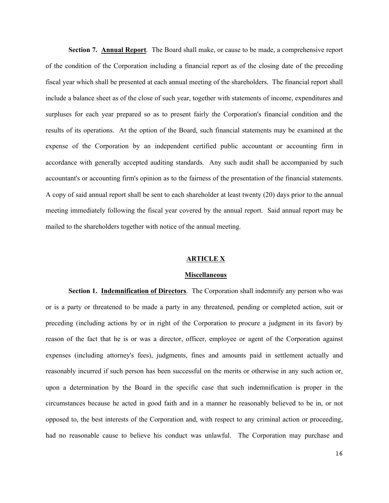**Section 7. Annual Report**. The Board shall make, or cause to be made, a comprehensive report of the condition of the Corporation including a financial report as of the closing date of the preceding fiscal year which shall be presented at each annual meeting of the shareholders. The financial report shall include a balance sheet as of the close of such year, together with statements of income, expenditures and surpluses for each year prepared so as to present fairly the Corporation's financial condition and the results of its operations. At the option of the Board, such financial statements may be examined at the expense of the Corporation by an independent certified public accountant or accounting firm in accordance with generally accepted auditing standards. Any such audit shall be accompanied by such accountant's or accounting firm's opinion as to the fairness of the presentation of the financial statements. A copy of said annual report shall be sent to each shareholder at least twenty (20) days prior to the annual meeting immediately following the fiscal year covered by the annual report. Said annual report may be mailed to the shareholders together with notice of the annual meeting.

### **ARTICLE X**

### **Miscellaneous**

**Section 1. Indemnification of Directors**. The Corporation shall indemnify any person who was or is a party or threatened to be made a party in any threatened, pending or completed action, suit or preceding (including actions by or in right of the Corporation to procure a judgment in its favor) by reason of the fact that he is or was a director, officer, employee or agent of the Corporation against expenses (including attorney's fees), judgments, fines and amounts paid in settlement actually and reasonably incurred if such person has been successful on the merits or otherwise in any such action or, upon a determination by the Board in the specific case that such indemnification is proper in the circumstances because he acted in good faith and in a manner he reasonably believed to be in, or not opposed to, the best interests of the Corporation and, with respect to any criminal action or proceeding, had no reasonable cause to believe his conduct was unlawful. The Corporation may purchase and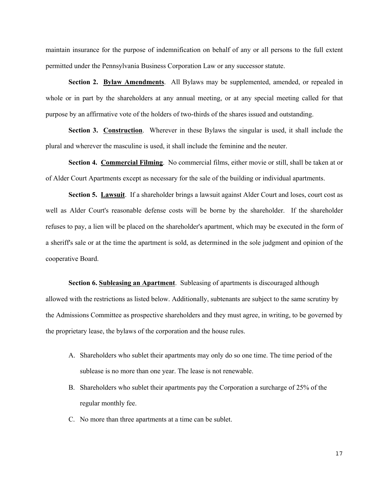maintain insurance for the purpose of indemnification on behalf of any or all persons to the full extent permitted under the Pennsylvania Business Corporation Law or any successor statute.

**Section 2. Bylaw Amendments**. All Bylaws may be supplemented, amended, or repealed in whole or in part by the shareholders at any annual meeting, or at any special meeting called for that purpose by an affirmative vote of the holders of two-thirds of the shares issued and outstanding.

**Section 3. Construction.** Wherever in these Bylaws the singular is used, it shall include the plural and wherever the masculine is used, it shall include the feminine and the neuter.

**Section 4. Commercial Filming**. No commercial films, either movie or still, shall be taken at or of Alder Court Apartments except as necessary for the sale of the building or individual apartments.

**Section 5. Lawsuit**. If a shareholder brings a lawsuit against Alder Court and loses, court cost as well as Alder Court's reasonable defense costs will be borne by the shareholder. If the shareholder refuses to pay, a lien will be placed on the shareholder's apartment, which may be executed in the form of a sheriff's sale or at the time the apartment is sold, as determined in the sole judgment and opinion of the cooperative Board.

**Section 6. Subleasing an Apartment**. Subleasing of apartments is discouraged although allowed with the restrictions as listed below. Additionally, subtenants are subject to the same scrutiny by the Admissions Committee as prospective shareholders and they must agree, in writing, to be governed by the proprietary lease, the bylaws of the corporation and the house rules.

- A. Shareholders who sublet their apartments may only do so one time. The time period of the sublease is no more than one year. The lease is not renewable.
- B. Shareholders who sublet their apartments pay the Corporation a surcharge of 25% of the regular monthly fee.
- C. No more than three apartments at a time can be sublet.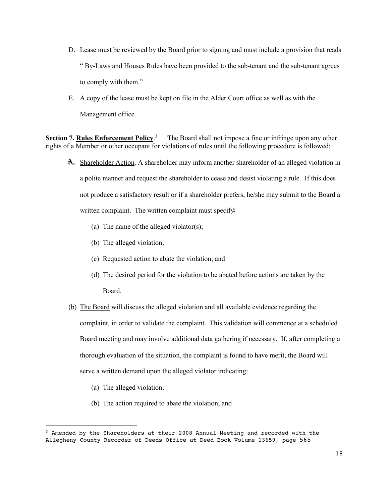- D. Lease must be reviewed by the Board prior to signing and must include a provision that reads " By-Laws and Houses Rules have been provided to the sub-tenant and the sub-tenant agrees to comply with them."
- E. A copy of the lease must be kept on file in the Alder Court office as well as with the Management office.

**Section 7. Rules Enforcement Policy**. 3 The Board shall not impose a fine or infringe upon any other rights of a Member or other occupant for violations of rules until the following procedure is followed:

- AAA... Shareholder Action. A shareholder may inform another shareholder of an alleged violation in a polite manner and request the shareholder to cease and desist violating a rule. If this does not produce a satisfactory result or if a shareholder prefers, he/she may submit to the Board a written complaint. The written complaint must specify
	- (a) The name of the alleged violator(s);
	- (b) The alleged violation;
	- (c) Requested action to abate the violation; and
	- (d) The desired period for the violation to be abated before actions are taken by the Board.
- (b) The Board will discuss the alleged violation and all available evidence regarding the complaint, in order to validate the complaint. This validation will commence at a scheduled Board meeting and may involve additional data gathering if necessary. If, after completing a thorough evaluation of the situation, the complaint is found to have merit, the Board will serve a written demand upon the alleged violator indicating:
	- (a) The alleged violation;
	- (b) The action required to abate the violation; and

<sup>3</sup> Amended by the Shareholders at their 2008 Annual Meeting and recorded with the Allegheny County Recorder of Deeds Office at Deed Book Volume 13659, page 565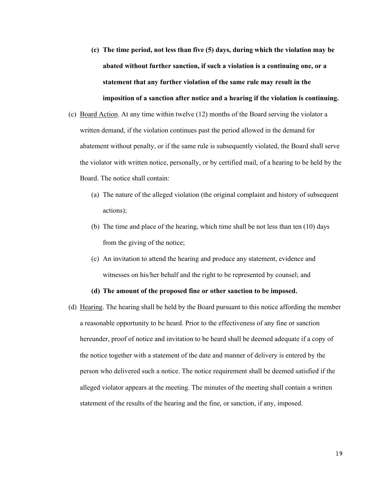- **(c) The time period, not less than five (5) days, during which the violation may be abated without further sanction, if such a violation is a continuing one, or a statement that any further violation of the same rule may result in the imposition of a sanction after notice and a hearing if the violation is continuing.**
- (c) Board Action. At any time within twelve (12) months of the Board serving the violator a written demand, if the violation continues past the period allowed in the demand for abatement without penalty, or if the same rule is subsequently violated, the Board shall serve the violator with written notice, personally, or by certified mail, of a hearing to be held by the Board. The notice shall contain:
	- (a) The nature of the alleged violation (the original complaint and history of subsequent actions);
	- (b) The time and place of the hearing, which time shall be not less than ten (10) days from the giving of the notice;
	- (c) An invitation to attend the hearing and produce any statement, evidence and witnesses on his/her behalf and the right to be represented by counsel; and

## **(d) The amount of the proposed fine or other sanction to be imposed.**

(d) Hearing. The hearing shall be held by the Board pursuant to this notice affording the member a reasonable opportunity to be heard. Prior to the effectiveness of any fine or sanction hereunder, proof of notice and invitation to be heard shall be deemed adequate if a copy of the notice together with a statement of the date and manner of delivery is entered by the person who delivered such a notice. The notice requirement shall be deemed satisfied if the alleged violator appears at the meeting. The minutes of the meeting shall contain a written statement of the results of the hearing and the fine, or sanction, if any, imposed.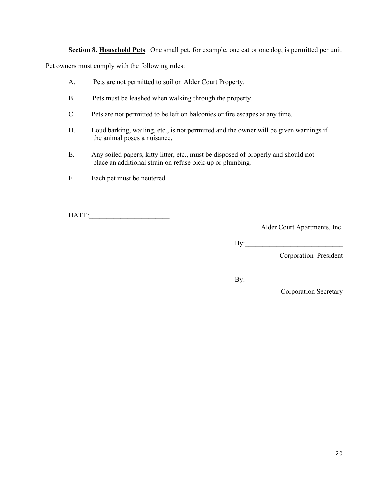**Section 8. Household Pets**. One small pet, for example, one cat or one dog, is permitted per unit.

Pet owners must comply with the following rules:

- A. Pets are not permitted to soil on Alder Court Property.
- B. Pets must be leashed when walking through the property.
- C. Pets are not permitted to be left on balconies or fire escapes at any time.
- D. Loud barking, wailing, etc., is not permitted and the owner will be given warnings if the animal poses a nuisance.
- E. Any soiled papers, kitty litter, etc., must be disposed of properly and should not place an additional strain on refuse pick-up or plumbing.
- F. Each pet must be neutered.

DATE:\_\_\_\_\_\_\_\_\_\_\_\_\_\_\_\_\_\_\_\_\_\_\_

Alder Court Apartments, Inc.

By:\_\_\_\_\_\_\_\_\_\_\_\_\_\_\_\_\_\_\_\_\_\_\_\_\_\_\_\_

Corporation President

By:\_\_\_\_\_\_\_\_\_\_\_\_\_\_\_\_\_\_\_\_\_\_\_\_\_\_\_\_

Corporation Secretary